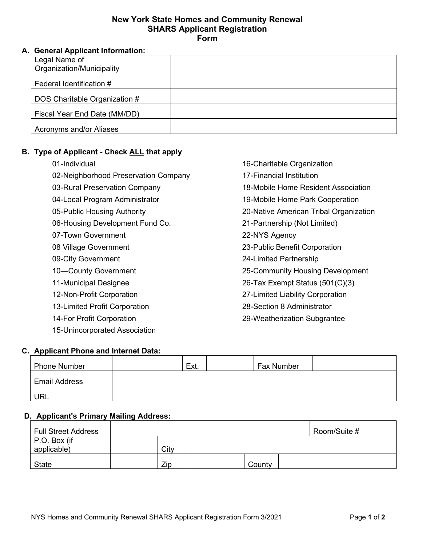#### **New York State Homes and Community Renewal SHARS Applicant Registration Form**

### **A. General Applicant Information:**

| Legal Name of                 |  |
|-------------------------------|--|
| Organization/Municipality     |  |
| Federal Identification #      |  |
| DOS Charitable Organization # |  |
| Fiscal Year End Date (MM/DD)  |  |
| Acronyms and/or Aliases       |  |

# **B. Type of Applicant - Check ALL that apply**

| 01-Individual                        |
|--------------------------------------|
| 02-Neighborhood Preservation Company |
| 03-Rural Preservation Company        |
| 04-Local Program Administrator       |
| 05-Public Housing Authority          |
| 06-Housing Development Fund Co.      |
| 07-Town Government                   |
| 08 Village Government                |
| 09-City Government                   |
| 10-County Government                 |
| 11-Municipal Designee                |
| 12-Non-Profit Corporation            |
| 13-Limited Profit Corporation        |
| 14-For Profit Corporation            |
|                                      |

16-Charitable Organization 17-Financial Institution 18-Mobile Home Resident Association 19-Mobile Home Park Cooperation 20-Native American Tribal Organization 21-Partnership (Not Limited) 22-NYS Agency 23-Public Benefit Corporation 24-Limited Partnership 25-Community Housing Development 26-Tax Exempt Status (501(C)(3) 27-Limited Liability Corporation 28-Section 8 Administrator 29-Weatherization Subgrantee

## **C. Applicant Phone and Internet Data:**

15-Unincorporated Association

| <b>Phone Number</b>  | Ext. | <b>Fax Number</b> |  |
|----------------------|------|-------------------|--|
| <b>Email Address</b> |      |                   |  |
| URL                  |      |                   |  |

#### **D. Applicant's Primary Mailing Address:**

| <b>Full Street Address</b>  |      |        | Room/Suite # |  |
|-----------------------------|------|--------|--------------|--|
| P.O. Box (if<br>applicable) | City |        |              |  |
| State                       | Zip  | County |              |  |